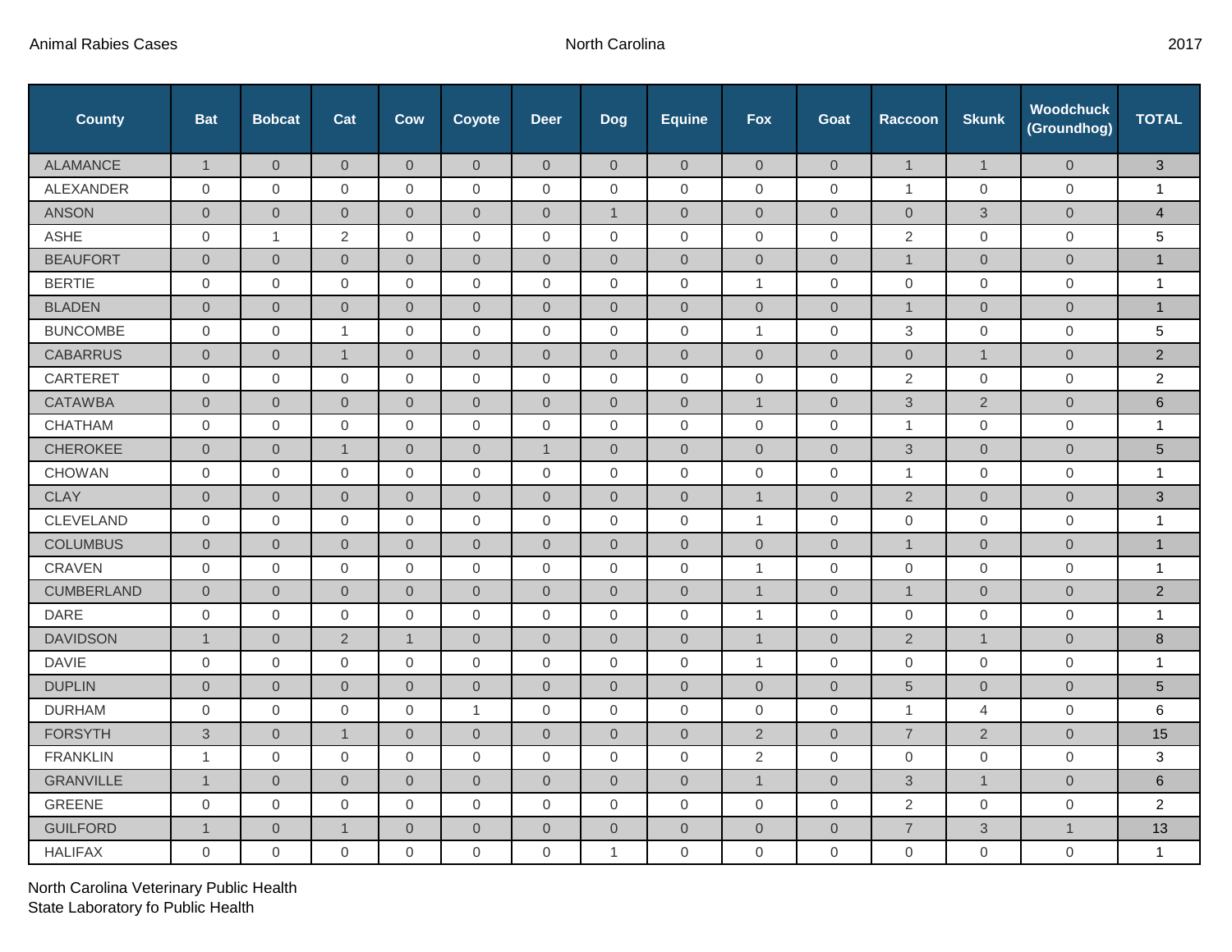| <b>County</b>     | <b>Bat</b>          | <b>Bobcat</b>       | Cat            | Cow              | Coyote              | <b>Deer</b>    | Dog            | <b>Equine</b>  | <b>Fox</b>          | Goat             | <b>Raccoon</b>      | <b>Skunk</b>   | <b>Woodchuck</b><br>(Groundhog) | <b>TOTAL</b>    |
|-------------------|---------------------|---------------------|----------------|------------------|---------------------|----------------|----------------|----------------|---------------------|------------------|---------------------|----------------|---------------------------------|-----------------|
| <b>ALAMANCE</b>   | $\mathbf{1}$        | $\overline{0}$      | $\overline{0}$ | $\overline{0}$   | $\overline{0}$      | $\Omega$       | $\overline{0}$ | $\overline{0}$ | $\overline{0}$      | $\overline{0}$   | $\mathbf{1}$        | $\mathbf{1}$   | $\overline{0}$                  | $\mathbf{3}$    |
| ALEXANDER         | 0                   | $\mathbf{0}$        | 0              | $\mathbf 0$      | $\mathbf 0$         | 0              | $\mathbf 0$    | 0              | $\boldsymbol{0}$    | $\mathbf{0}$     | $\mathbf{1}$        | 0              | $\mathbf 0$                     | $\mathbf{1}$    |
| <b>ANSON</b>      | $\overline{0}$      | $\mathbf 0$         | $\overline{0}$ | $\overline{0}$   | $\overline{0}$      | $\overline{0}$ | $\mathbf{1}$   | $\overline{0}$ | $\overline{0}$      | $\mathbf 0$      | $\mathbf 0$         | $\mathfrak{Z}$ | $\mathbf 0$                     | $\overline{4}$  |
| <b>ASHE</b>       | 0                   | $\mathbf{1}$        | 2              | 0                | $\mathbf 0$         | 0              | 0              | $\overline{0}$ | 0                   | 0                | 2                   | $\mathbf 0$    | $\mathbf 0$                     | 5               |
| <b>BEAUFORT</b>   | $\overline{0}$      | $\boldsymbol{0}$    | $\overline{0}$ | $\overline{0}$   | $\overline{0}$      | $\overline{0}$ | $\overline{0}$ | $\overline{0}$ | $\overline{0}$      | $\overline{0}$   | $\mathbf{1}$        | $\overline{0}$ | $\overline{0}$                  | $\mathbf{1}$    |
| <b>BERTIE</b>     | $\overline{0}$      | $\mathbf{0}$        | $\overline{0}$ | $\overline{0}$   | $\mathbf{0}$        | $\overline{0}$ | $\overline{0}$ | $\overline{0}$ | $\mathbf{1}$        | $\overline{0}$   | $\mathbf 0$         | $\mathbf 0$    | $\overline{0}$                  | $\mathbf{1}$    |
| <b>BLADEN</b>     | $\overline{0}$      | $\overline{0}$      | $\overline{0}$ | $\overline{0}$   | $\overline{0}$      | $\overline{0}$ | $\overline{0}$ | $\overline{0}$ | $\overline{0}$      | $\overline{0}$   | $\overline{1}$      | $\overline{0}$ | $\overline{0}$                  | $\mathbf{1}$    |
| <b>BUNCOMBE</b>   | $\overline{0}$      | $\mathbf{0}$        | $\mathbf{1}$   | $\overline{0}$   | $\mathbf 0$         | $\mathbf{0}$   | $\mathbf 0$    | $\overline{0}$ | $\mathbf{1}$        | $\mathbf{0}$     | 3                   | $\Omega$       | $\overline{0}$                  | 5               |
| <b>CABARRUS</b>   | $\overline{0}$      | $\overline{0}$      | $\mathbf{1}$   | $\overline{0}$   | $\overline{0}$      | $\overline{0}$ | $\overline{0}$ | $\overline{0}$ | $\overline{0}$      | $\overline{0}$   | $\mathsf{O}\xspace$ | $\mathbf{1}$   | $\overline{0}$                  | $\overline{2}$  |
| <b>CARTERET</b>   | $\overline{0}$      | $\mathbf{0}$        | $\mathbf{0}$   | $\overline{0}$   | $\overline{0}$      | $\overline{0}$ | $\mathbf 0$    | $\overline{0}$ | $\mathbf 0$         | $\mathbf{0}$     | $\overline{2}$      | $\overline{0}$ | $\mathbf{0}$                    | $\overline{2}$  |
| <b>CATAWBA</b>    | $\mathsf{O}\xspace$ | $\mathbf 0$         | $\overline{0}$ | $\overline{0}$   | $\overline{0}$      | $\mathbf{O}$   | $\overline{0}$ | $\overline{0}$ | $\mathbf{1}$        | $\overline{0}$   | $\mathfrak{S}$      | $\overline{2}$ | $\mathbf{O}$                    | $\,6\,$         |
| <b>CHATHAM</b>    | $\overline{0}$      | $\mathbf{0}$        | $\mathbf{0}$   | $\mathbf 0$      | $\mathbf 0$         | $\overline{0}$ | $\overline{0}$ | $\mathbf 0$    | $\mathbf{0}$        | $\boldsymbol{0}$ | $\mathbf{1}$        | $\overline{0}$ | $\mathbf 0$                     | $\mathbf{1}$    |
| <b>CHEROKEE</b>   | $\overline{0}$      | $\overline{0}$      | $\mathbf{1}$   | $\overline{0}$   | $\mathsf{O}\xspace$ | $\mathbf{1}$   | $\overline{0}$ | $\overline{0}$ | $\boldsymbol{0}$    | $\overline{0}$   | $\mathsf 3$         | $\mathbf{O}$   | $\overline{0}$                  | $\overline{5}$  |
| <b>CHOWAN</b>     | $\overline{0}$      | $\mathbf{0}$        | $\mathbf{0}$   | $\overline{0}$   | $\mathbf 0$         | $\mathbf{0}$   | $\mathbf 0$    | $\overline{0}$ | $\mathbf{0}$        | $\mathbf{0}$     | $\mathbf{1}$        | $\overline{0}$ | $\overline{0}$                  | $\mathbf{1}$    |
| <b>CLAY</b>       | $\overline{0}$      | $\overline{0}$      | $\overline{0}$ | $\overline{0}$   | $\overline{0}$      | $\overline{0}$ | $\overline{0}$ | $\overline{0}$ | $\mathbf{1}$        | $\overline{0}$   | $\overline{2}$      | $\overline{0}$ | $\mathbf 0$                     | $\mathfrak{S}$  |
| <b>CLEVELAND</b>  | $\overline{0}$      | $\boldsymbol{0}$    | $\mathbf{0}$   | 0                | $\mathbf 0$         | $\mathbf{0}$   | $\mathbf 0$    | $\mathbf 0$    | $\mathbf{1}$        | 0                | $\mathbf 0$         | $\overline{0}$ | $\overline{0}$                  | $\mathbf{1}$    |
| <b>COLUMBUS</b>   | $\overline{0}$      | $\overline{0}$      | $\overline{0}$ | $\overline{0}$   | $\overline{0}$      | $\overline{0}$ | $\overline{0}$ | $\overline{0}$ | $\boldsymbol{0}$    | $\overline{0}$   | $\mathbf{1}$        | $\overline{0}$ | $\overline{0}$                  | $\mathbf{1}$    |
| CRAVEN            | $\overline{0}$      | $\mathbf 0$         | 0              | 0                | $\mathbf 0$         | $\overline{0}$ | $\mathbf 0$    | $\mathbf 0$    | $\mathbf{1}$        | 0                | $\mathbf 0$         | 0              | $\mathbf 0$                     | $\mathbf{1}$    |
| <b>CUMBERLAND</b> | $\overline{0}$      | $\overline{0}$      | $\overline{0}$ | $\overline{0}$   | $\overline{0}$      | $\overline{0}$ | $\overline{0}$ | $\overline{0}$ | $\mathbf{1}$        | $\overline{0}$   | $\mathbf{1}$        | $\overline{0}$ | $\overline{0}$                  | 2               |
| <b>DARE</b>       | $\mathsf 0$         | $\mathbf 0$         | $\mathbf 0$    | $\boldsymbol{0}$ | $\mathsf{O}\xspace$ | $\Omega$       | $\mathbf 0$    | 0              | $\mathbf{1}$        | $\mathbf 0$      | $\mathsf{O}\xspace$ | $\mathbf 0$    | $\mathsf{O}$                    | $\mathbf{1}$    |
| <b>DAVIDSON</b>   | $\mathbf{1}$        | $\overline{0}$      | $\overline{2}$ | $\mathbf{1}$     | $\overline{0}$      | $\overline{0}$ | $\overline{0}$ | $\overline{0}$ | $\mathbf{1}$        | $\overline{0}$   | $\overline{2}$      | $\mathbf{1}$   | $\overline{0}$                  | 8               |
| <b>DAVIE</b>      | 0                   | $\mathbf 0$         | $\mathbf 0$    | $\mathbf 0$      | $\mathbf 0$         | $\Omega$       | $\Omega$       | $\mathbf 0$    | $\mathbf{1}$        | $\mathbf 0$      | $\mathbf 0$         | $\mathbf 0$    | $\mathbf 0$                     | $\mathbf{1}$    |
| <b>DUPLIN</b>     | $\overline{0}$      | $\overline{0}$      | $\overline{0}$ | $\overline{0}$   | $\overline{0}$      | $\overline{0}$ | $\overline{0}$ | $\overline{0}$ | $\overline{0}$      | $\overline{0}$   | $\sqrt{5}$          | $\overline{0}$ | $\overline{0}$                  | $5\phantom{.0}$ |
| <b>DURHAM</b>     | $\overline{0}$      | $\mathbf 0$         | $\mathbf{0}$   | $\overline{0}$   | $\mathbf{1}$        | $\overline{0}$ | $\overline{0}$ | $\mathbf 0$    | $\mathbf 0$         | $\mathbf 0$      | $\mathbf{1}$        | $\overline{4}$ | $\mathbf{0}$                    | 6               |
| <b>FORSYTH</b>    | 3                   | $\overline{0}$      | $\mathbf 1$    | $\overline{0}$   | $\overline{0}$      | $\overline{0}$ | $\overline{0}$ | $\overline{0}$ | $\overline{2}$      | $\overline{0}$   | $\overline{7}$      | $\overline{2}$ | $\overline{0}$                  | 15              |
| <b>FRANKLIN</b>   | $\mathbf{1}$        | $\mathbf 0$         | $\mathbf 0$    | $\mathbf 0$      | $\mathbf{0}$        | $\overline{0}$ | $\mathbf 0$    | $\mathbf 0$    | $\overline{2}$      | $\mathbf 0$      | $\overline{0}$      | $\overline{0}$ | $\overline{0}$                  | 3               |
| <b>GRANVILLE</b>  | $\mathbf{1}$        | $\overline{0}$      | $\overline{0}$ | $\boldsymbol{0}$ | $\overline{0}$      | $\overline{0}$ | $\overline{0}$ | $\overline{0}$ | $\mathbf{1}$        | $\overline{0}$   | 3                   | $\mathbf{1}$   | $\overline{0}$                  | 6               |
| <b>GREENE</b>     | $\overline{0}$      | 0                   | $\mathbf{0}$   | 0                | $\mathbf 0$         | $\mathbf{0}$   | $\overline{0}$ | $\mathbf{0}$   | $\mathbf 0$         | $\mathbf 0$      | $\overline{2}$      | $\overline{0}$ | $\mathbf{0}$                    | $\overline{2}$  |
| <b>GUILFORD</b>   | $\mathbf{1}$        | $\mathsf{O}\xspace$ | $\mathbf{1}$   | $\boldsymbol{0}$ | $\mathbf 0$         | $\overline{0}$ | $\mathbf 0$    | $\sqrt{0}$     | $\mathsf{O}\xspace$ | $\mathbf 0$      | $\overline{7}$      | $\mathfrak{S}$ | $\mathbf{1}$                    | 13              |
| <b>HALIFAX</b>    | $\mathbf 0$         | 0                   | $\mathbf 0$    | $\mathbf 0$      | 0                   | $\mathbf 0$    | $\overline{1}$ | $\mathbf 0$    | $\mathbf 0$         | $\boldsymbol{0}$ | $\mathbf 0$         | $\overline{0}$ | $\mathbf 0$                     | $\mathbf{1}$    |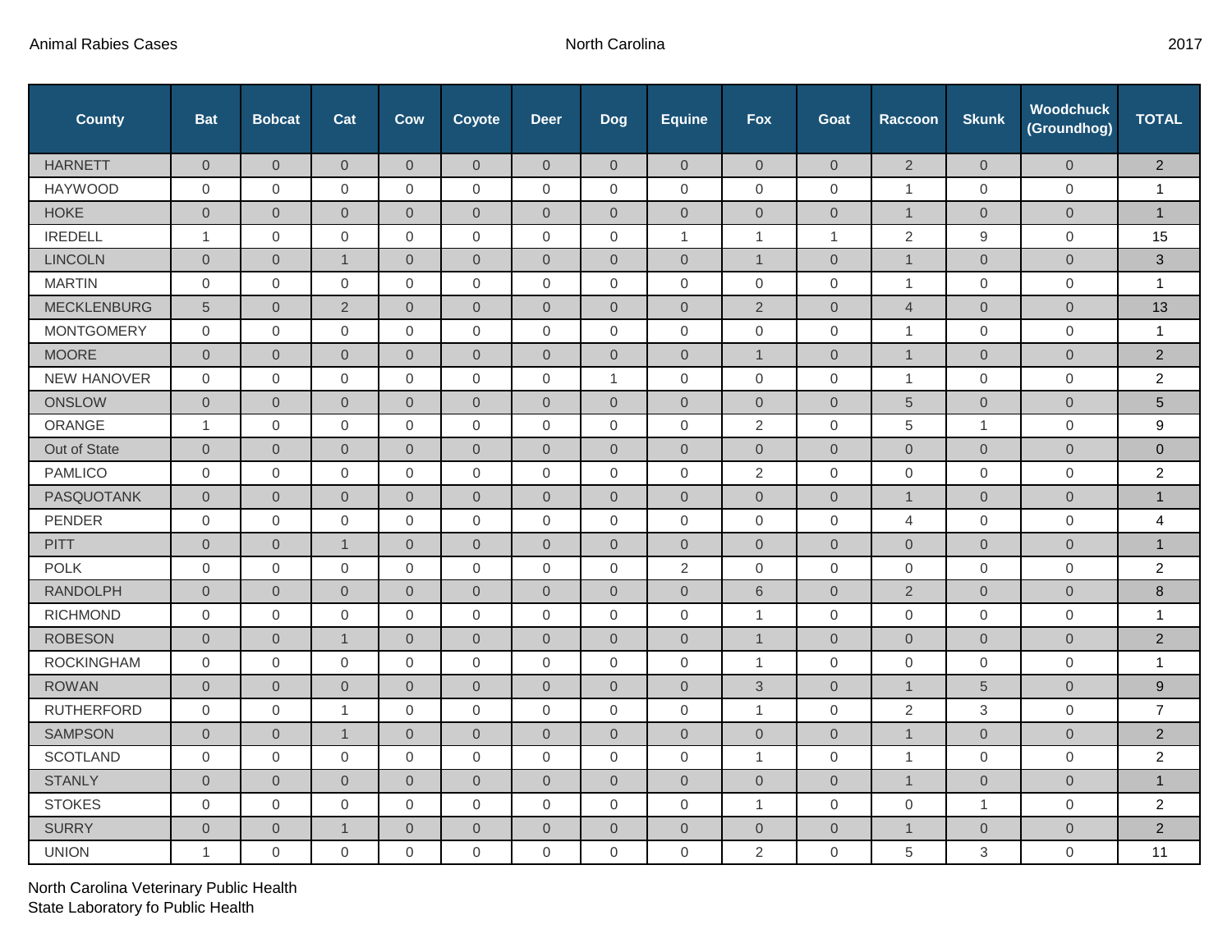| <b>County</b>      | <b>Bat</b>          | <b>Bobcat</b>       | Cat                 | Cow                 | Coyote              | <b>Deer</b>    | <b>Dog</b>          | <b>Equine</b>  | <b>Fox</b>          | Goat                | <b>Raccoon</b>      | <b>Skunk</b>   | <b>Woodchuck</b><br>(Groundhog) | <b>TOTAL</b>    |
|--------------------|---------------------|---------------------|---------------------|---------------------|---------------------|----------------|---------------------|----------------|---------------------|---------------------|---------------------|----------------|---------------------------------|-----------------|
| <b>HARNETT</b>     | $\overline{0}$      | $\overline{0}$      | $\overline{0}$      | $\overline{0}$      | $\overline{0}$      | $\overline{0}$ | $\overline{0}$      | $\overline{0}$ | $\overline{0}$      | $\overline{0}$      | $\overline{2}$      | $\overline{0}$ | $\mathbf{0}$                    | $\overline{2}$  |
| <b>HAYWOOD</b>     | $\mathsf{O}\xspace$ | $\mathsf{O}$        | $\mathsf{O}$        | $\mathsf{O}\xspace$ | $\mathbf 0$         | $\mathbf 0$    | $\mathbf 0$         | $\mathbf 0$    | $\mathsf{O}\xspace$ | $\mathbf 0$         | $\mathbf{1}$        | $\mathbf 0$    | $\mathbf 0$                     | $\mathbf{1}$    |
| <b>HOKE</b>        | $\overline{0}$      | $\overline{0}$      | $\overline{0}$      | $\theta$            | $\overline{0}$      | $\overline{0}$ | $\overline{0}$      | $\overline{0}$ | $\overline{0}$      | $\overline{0}$      | $\mathbf{1}$        | $\overline{0}$ | $\mathbf{0}$                    | $\mathbf{1}$    |
| <b>IREDELL</b>     | $\mathbf{1}$        | $\overline{0}$      | $\overline{0}$      | $\mathbf 0$         | $\overline{0}$      | $\overline{0}$ | $\mathbf{0}$        | $\mathbf{1}$   | $\mathbf{1}$        | $\mathbf{1}$        | 2                   | 9              | $\mathbf 0$                     | 15              |
| <b>LINCOLN</b>     | $\overline{0}$      | $\boldsymbol{0}$    | $\mathbf{1}$        | $\sqrt{0}$          | $\overline{0}$      | $\overline{0}$ | $\overline{0}$      | $\overline{0}$ | $\mathbf{1}$        | $\overline{0}$      | $\mathbf{1}$        | $\mathbf{0}$   | $\mathbf{0}$                    | 3               |
| <b>MARTIN</b>      | $\mathbf 0$         | $\overline{0}$      | 0                   | $\overline{0}$      | $\mathbf 0$         | $\mathbf{0}$   | $\overline{0}$      | $\mathbf 0$    | $\mathbf 0$         | $\mathbf{0}$        | $\mathbf{1}$        | $\overline{0}$ | $\mathbf 0$                     | $\mathbf{1}$    |
| <b>MECKLENBURG</b> | 5                   | $\Omega$            | $\overline{2}$      | $\overline{0}$      | $\overline{0}$      | $\Omega$       | $\overline{0}$      | $\overline{0}$ | $\overline{2}$      | $\overline{0}$      | $\overline{4}$      | $\overline{0}$ | $\overline{0}$                  | 13              |
| <b>MONTGOMERY</b>  | 0                   | $\mathbf 0$         | 0                   | $\mathbf 0$         | $\mathbf 0$         | $\mathbf 0$    | $\mathbf 0$         | $\mathbf 0$    | $\mathbf 0$         | $\mathbf 0$         | $\mathbf{1}$        | $\mathbf 0$    | $\overline{0}$                  | $\mathbf{1}$    |
| <b>MOORE</b>       | $\overline{0}$      | $\overline{0}$      | $\overline{0}$      | $\overline{0}$      | $\overline{0}$      | $\overline{0}$ | $\overline{0}$      | $\overline{0}$ | $\mathbf{1}$        | $\overline{0}$      | $\mathbf{1}$        | $\overline{0}$ | $\overline{0}$                  | 2               |
| <b>NEW HANOVER</b> | $\mathbf 0$         | $\mathbf 0$         | 0                   | 0                   | 0                   | 0              | $\mathbf{1}$        | $\mathbf 0$    | $\mathbf 0$         | $\mathbf 0$         | $\mathbf{1}$        | $\overline{0}$ | $\mathbf 0$                     | $\overline{2}$  |
| <b>ONSLOW</b>      | $\overline{0}$      | $\overline{0}$      | $\overline{0}$      | $\overline{0}$      | $\overline{0}$      | $\overline{0}$ | $\overline{0}$      | $\overline{0}$ | $\overline{0}$      | $\overline{0}$      | $5\overline{)}$     | $\overline{0}$ | $\overline{0}$                  | $5\phantom{.0}$ |
| ORANGE             | $\mathbf{1}$        | $\mathbf 0$         | 0                   | $\mathbf 0$         | 0                   | 0              | $\mathbf 0$         | $\mathbf 0$    | 2                   | $\mathbf 0$         | $\,$ 5 $\,$         | $\mathbf{1}$   | $\mathbf 0$                     | $9\,$           |
| Out of State       | $\overline{0}$      | $\overline{0}$      | $\overline{0}$      | $\overline{0}$      | $\overline{0}$      | $\overline{0}$ | $\overline{0}$      | $\overline{0}$ | $\overline{0}$      | $\overline{0}$      | $\overline{0}$      | $\overline{0}$ | $\overline{0}$                  | $\mathbf 0$     |
| <b>PAMLICO</b>     | $\Omega$            | $\overline{0}$      | $\overline{0}$      | $\mathbf{0}$        | $\overline{0}$      | $\overline{0}$ | $\mathbf{0}$        | $\mathbf 0$    | $\overline{2}$      | $\mathbf{0}$        | $\overline{0}$      | $\mathbf{0}$   | $\mathbf{0}$                    | $\overline{2}$  |
| <b>PASQUOTANK</b>  | $\overline{0}$      | $\overline{0}$      | $\mathbf{0}$        | $\sqrt{0}$          | $\overline{0}$      | $\overline{0}$ | $\overline{0}$      | $\mathbf{0}$   | $\overline{0}$      | $\boldsymbol{0}$    | $\mathbf{1}$        | $\overline{0}$ | $\overline{0}$                  | $\mathbf{1}$    |
| PENDER             | $\mathbf{0}$        | $\mathbf 0$         | $\overline{0}$      | $\mathbf{0}$        | $\mathsf{O}\xspace$ | $\mathbf{0}$   | $\mathbf 0$         | $\mathbf 0$    | $\mathsf{O}\xspace$ | $\mathbf{0}$        | 4                   | $\mathbf{0}$   | $\overline{0}$                  | 4               |
| <b>PITT</b>        | $\overline{0}$      | $\overline{0}$      | $\mathbf{1}$        | $\overline{0}$      | $\overline{0}$      | $\mathbf{0}$   | $\mathsf{O}\xspace$ | $\overline{0}$ | $\overline{0}$      | $\overline{0}$      | $\mathsf{O}\xspace$ | $\mathbf{O}$   | $\overline{0}$                  | $\mathbf{1}$    |
| <b>POLK</b>        | 0                   | $\mathbf 0$         | $\overline{0}$      | $\mathbf{0}$        | $\mathbf{0}$        | $\mathbf{0}$   | $\mathbf{0}$        | $\overline{2}$ | $\mathbf{0}$        | $\mathbf{0}$        | $\overline{0}$      | $\overline{0}$ | $\mathbf 0$                     | $\overline{2}$  |
| <b>RANDOLPH</b>    | $\mathsf{O}\xspace$ | $\mathbf 0$         | $\overline{0}$      | $\sqrt{0}$          | $\mathbf{O}$        | $\overline{0}$ | $\overline{0}$      | $\mathbf{0}$   | $6\,$               | $\mathsf{O}\xspace$ | $\overline{2}$      | $\mathbf 0$    | $\mathbf 0$                     | $\bf 8$         |
| <b>RICHMOND</b>    | $\mathbf{0}$        | $\overline{0}$      | 0                   | $\boldsymbol{0}$    | 0                   | $\overline{0}$ | $\mathbf 0$         | $\mathbf 0$    | $\mathbf{1}$        | $\mathbf 0$         | $\mathbf 0$         | $\mathbf{0}$   | $\mathbf 0$                     | $\mathbf{1}$    |
| <b>ROBESON</b>     | $\overline{0}$      | $\overline{0}$      | $\mathbf{1}$        | $\mathbf 0$         | $\overline{0}$      | $\overline{0}$ | $\overline{0}$      | $\mathbf{0}$   | $\mathbf{1}$        | $\overline{0}$      | $\overline{0}$      | $\overline{0}$ | $\overline{0}$                  | 2               |
| <b>ROCKINGHAM</b>  | $\mathbf 0$         | $\mathsf{O}$        | $\mathsf{O}\xspace$ | $\mathbf 0$         | $\mathbf 0$         | $\mathbf 0$    | $\mathsf{O}\xspace$ | $\mathbf 0$    | $\mathbf{1}$        | $\mathbf 0$         | $\mathbf 0$         | $\mathbf 0$    | $\mathsf{O}$                    | $\mathbf{1}$    |
| <b>ROWAN</b>       | $\overline{0}$      | $\overline{0}$      | $\overline{0}$      | $\overline{0}$      | $\overline{0}$      | $\overline{0}$ | $\overline{0}$      | $\overline{0}$ | 3                   | $\overline{0}$      | $\mathbf{1}$        | $\overline{5}$ | $\overline{0}$                  | 9               |
| <b>RUTHERFORD</b>  | $\Omega$            | $\Omega$            | $\mathbf{1}$        | $\boldsymbol{0}$    | 0                   | $\mathbf 0$    | $\mathsf{O}\xspace$ | $\mathbf 0$    | $\mathbf{1}$        | 0                   | 2                   | $\sqrt{3}$     | $\mathbf 0$                     | $\overline{7}$  |
| <b>SAMPSON</b>     | $\overline{0}$      | $\mathbf 0$         | $\mathbf{1}$        | $\sqrt{0}$          | $\overline{0}$      | $\overline{0}$ | $\overline{0}$      | $\overline{0}$ | $\overline{0}$      | $\overline{0}$      | $\mathbf{1}$        | $\overline{0}$ | $\overline{0}$                  | $\overline{2}$  |
| <b>SCOTLAND</b>    | $\mathbf 0$         | $\overline{0}$      | $\mathbf 0$         | $\mathbf 0$         | $\mathbf 0$         | $\overline{0}$ | $\mathbf{0}$        | $\mathbf 0$    | $\overline{1}$      | $\mathbf{0}$        | $\mathbf{1}$        | $\mathbf{0}$   | $\mathbf{0}$                    | $\overline{2}$  |
| <b>STANLY</b>      | $\overline{0}$      | $\overline{0}$      | $\overline{0}$      | $\overline{0}$      | $\overline{0}$      | $\overline{0}$ | $\overline{0}$      | $\overline{0}$ | $\overline{0}$      | $\overline{0}$      | $\mathbf{1}$        | $\overline{0}$ | $\overline{0}$                  | $\mathbf{1}$    |
| <b>STOKES</b>      | 0                   | $\mathbf{0}$        | $\overline{0}$      | 0                   | $\mathbf 0$         | $\mathbf{0}$   | $\mathbf{0}$        | $\mathbf 0$    | $\mathbf{1}$        | $\mathbf{0}$        | $\mathbf 0$         | $\mathbf{1}$   | $\mathbf{0}$                    | $\overline{2}$  |
| <b>SURRY</b>       | $\mathsf{O}\xspace$ | $\mathsf{O}\xspace$ | $\overline{1}$      | $\mathbf 0$         | $\mathbf{0}$        | $\overline{0}$ | $\mathsf{O}\xspace$ | $\mathbf{0}$   | $\overline{0}$      | $\mathsf{O}\xspace$ | $\mathbf{1}$        | $\mathbf{0}$   | $\mathbf 0$                     | $\overline{2}$  |
| <b>UNION</b>       | $\mathbf{1}$        | $\mathbf{0}$        | $\mathbf 0$         | 0                   | $\mathbf 0$         | $\mathbf 0$    | $\mathbf{0}$        | $\mathbf 0$    | 2                   | $\mathbf{0}$        | 5                   | 3              | $\mathbf 0$                     | 11              |